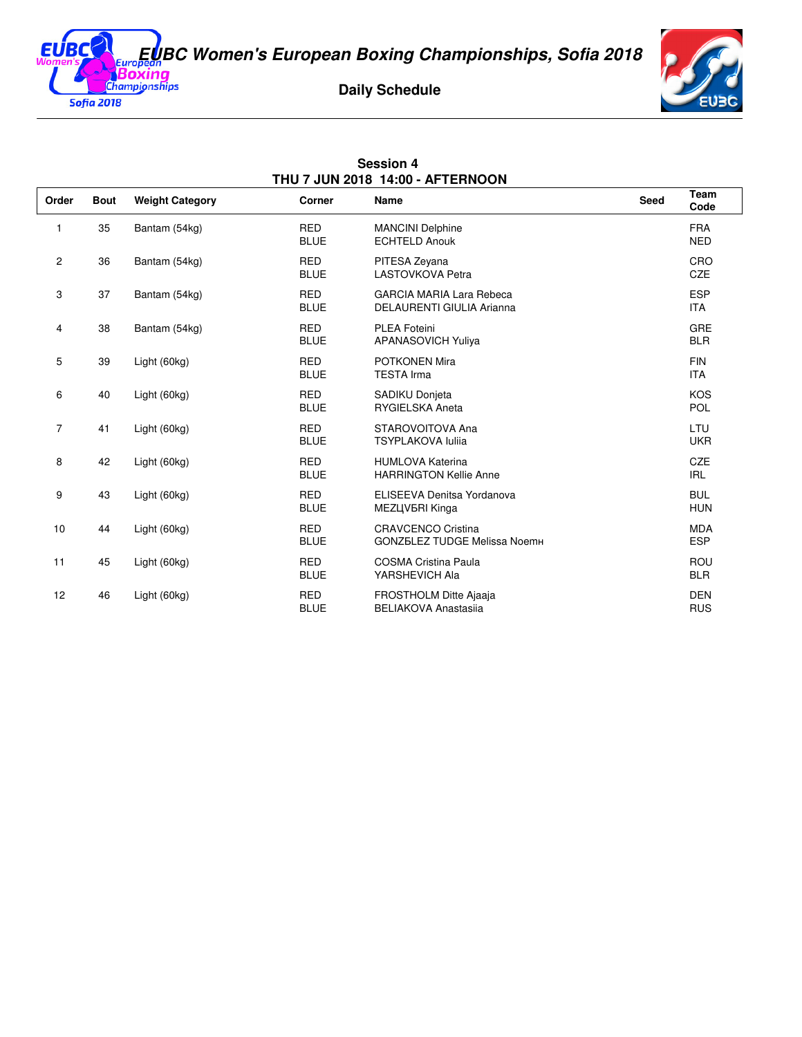**EUBC Women's European Boxing Championships, Sofia 2018**

EUB

**Sofia 2018** 

## **Daily Schedule**



| <b>Session 4</b><br>THU 7 JUN 2018 14:00 - AFTERNOON |             |                        |                           |                                                                     |             |                          |  |  |  |  |
|------------------------------------------------------|-------------|------------------------|---------------------------|---------------------------------------------------------------------|-------------|--------------------------|--|--|--|--|
| Order                                                | <b>Bout</b> | <b>Weight Category</b> | Corner                    | <b>Name</b>                                                         | <b>Seed</b> | Team<br>Code             |  |  |  |  |
| 1                                                    | 35          | Bantam (54kg)          | <b>RED</b><br><b>BLUE</b> | <b>MANCINI Delphine</b><br><b>ECHTELD Anouk</b>                     |             | <b>FRA</b><br><b>NED</b> |  |  |  |  |
| $\mathbf{2}$                                         | 36          | Bantam (54kg)          | <b>RED</b><br><b>BLUE</b> | PITESA Zeyana<br><b>LASTOVKOVA Petra</b>                            |             | CRO<br><b>CZE</b>        |  |  |  |  |
| 3                                                    | 37          | Bantam (54kg)          | <b>RED</b><br><b>BLUE</b> | <b>GARCIA MARIA Lara Rebeca</b><br><b>DELAURENTI GIULIA Arianna</b> |             | <b>ESP</b><br><b>ITA</b> |  |  |  |  |
| 4                                                    | 38          | Bantam (54kg)          | <b>RED</b><br><b>BLUE</b> | <b>PLEA Foteini</b><br><b>APANASOVICH Yuliya</b>                    |             | GRE<br><b>BLR</b>        |  |  |  |  |
| 5                                                    | 39          | Light (60kg)           | <b>RED</b><br><b>BLUE</b> | <b>POTKONEN Mira</b><br><b>TESTA Irma</b>                           |             | <b>FIN</b><br><b>ITA</b> |  |  |  |  |
| 6                                                    | 40          | Light (60kg)           | <b>RED</b><br><b>BLUE</b> | SADIKU Donjeta<br><b>RYGIELSKA Aneta</b>                            |             | <b>KOS</b><br><b>POL</b> |  |  |  |  |
| $\overline{7}$                                       | 41          | Light (60kg)           | <b>RED</b><br><b>BLUE</b> | STAROVOITOVA Ana<br><b>TSYPLAKOVA luliia</b>                        |             | LTU<br><b>UKR</b>        |  |  |  |  |
| 8                                                    | 42          | Light (60kg)           | <b>RED</b><br><b>BLUE</b> | <b>HUMLOVA Katerina</b><br><b>HARRINGTON Kellie Anne</b>            |             | CZE<br><b>IRL</b>        |  |  |  |  |
| 9                                                    | 43          | Light (60kg)           | <b>RED</b><br><b>BLUE</b> | ELISEEVA Denitsa Yordanova<br>MEZЦVБRI Kinga                        |             | <b>BUL</b><br><b>HUN</b> |  |  |  |  |
| 10                                                   | 44          | Light (60kg)           | <b>RED</b><br><b>BLUE</b> | <b>CRAVCENCO Cristina</b><br><b>GONZELEZ TUDGE Melissa NoemH</b>    |             | <b>MDA</b><br><b>ESP</b> |  |  |  |  |
| 11                                                   | 45          | Light (60kg)           | <b>RED</b><br><b>BLUE</b> | <b>COSMA Cristina Paula</b><br>YARSHEVICH Ala                       |             | <b>ROU</b><br><b>BLR</b> |  |  |  |  |
| 12                                                   | 46          | Light (60kg)           | <b>RED</b><br><b>BLUE</b> | <b>FROSTHOLM Ditte Ajaaja</b><br><b>BELIAKOVA Anastasija</b>        |             | <b>DEN</b><br><b>RUS</b> |  |  |  |  |